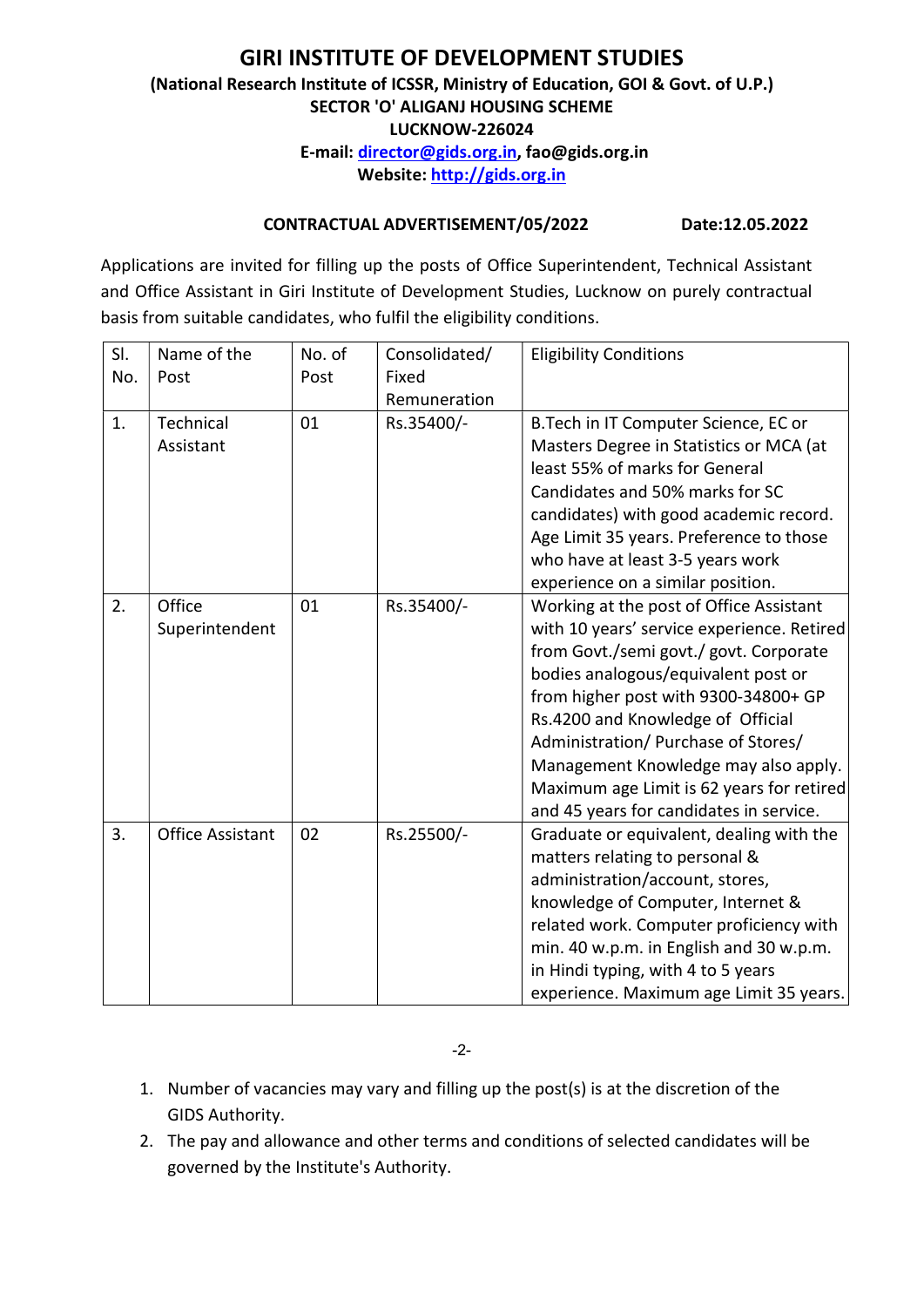# GIRI INSTITUTE OF DEVELOPMENT STUDIES (National Research Institute of ICSSR, Ministry of Education, GOI & Govt. of U.P.) SECTOR 'O' ALIGANJ HOUSING SCHEME LUCKNOW-226024 E-mail: director@gids.org.in, fao@gids.org.in Website: http://gids.org.in

## CONTRACTUAL ADVERTISEMENT/05/2022 Date:12.05.2022

Applications are invited for filling up the posts of Office Superintendent, Technical Assistant and Office Assistant in Giri Institute of Development Studies, Lucknow on purely contractual basis from suitable candidates, who fulfil the eligibility conditions.

| SI. | Name of the             | No. of | Consolidated/ | <b>Eligibility Conditions</b>              |
|-----|-------------------------|--------|---------------|--------------------------------------------|
| No. | Post                    | Post   | Fixed         |                                            |
|     |                         |        | Remuneration  |                                            |
| 1.  | Technical               | 01     | Rs.35400/-    | B. Tech in IT Computer Science, EC or      |
|     | Assistant               |        |               | Masters Degree in Statistics or MCA (at    |
|     |                         |        |               | least 55% of marks for General             |
|     |                         |        |               | Candidates and 50% marks for SC            |
|     |                         |        |               | candidates) with good academic record.     |
|     |                         |        |               | Age Limit 35 years. Preference to those    |
|     |                         |        |               | who have at least 3-5 years work           |
|     |                         |        |               | experience on a similar position.          |
| 2.  | Office                  | 01     | Rs.35400/-    | Working at the post of Office Assistant    |
|     | Superintendent          |        |               | with 10 years' service experience. Retired |
|     |                         |        |               | from Govt./semi govt./ govt. Corporate     |
|     |                         |        |               | bodies analogous/equivalent post or        |
|     |                         |        |               | from higher post with 9300-34800+ GP       |
|     |                         |        |               | Rs.4200 and Knowledge of Official          |
|     |                         |        |               | Administration/ Purchase of Stores/        |
|     |                         |        |               | Management Knowledge may also apply.       |
|     |                         |        |               | Maximum age Limit is 62 years for retired  |
|     |                         |        |               | and 45 years for candidates in service.    |
| 3.  | <b>Office Assistant</b> | 02     | Rs.25500/-    | Graduate or equivalent, dealing with the   |
|     |                         |        |               | matters relating to personal &             |
|     |                         |        |               | administration/account, stores,            |
|     |                         |        |               | knowledge of Computer, Internet &          |
|     |                         |        |               | related work. Computer proficiency with    |
|     |                         |        |               | min. 40 w.p.m. in English and 30 w.p.m.    |
|     |                         |        |               | in Hindi typing, with 4 to 5 years         |
|     |                         |        |               | experience. Maximum age Limit 35 years.    |

-2-

- 1. Number of vacancies may vary and filling up the post(s) is at the discretion of the GIDS Authority.
- 2. The pay and allowance and other terms and conditions of selected candidates will be governed by the Institute's Authority.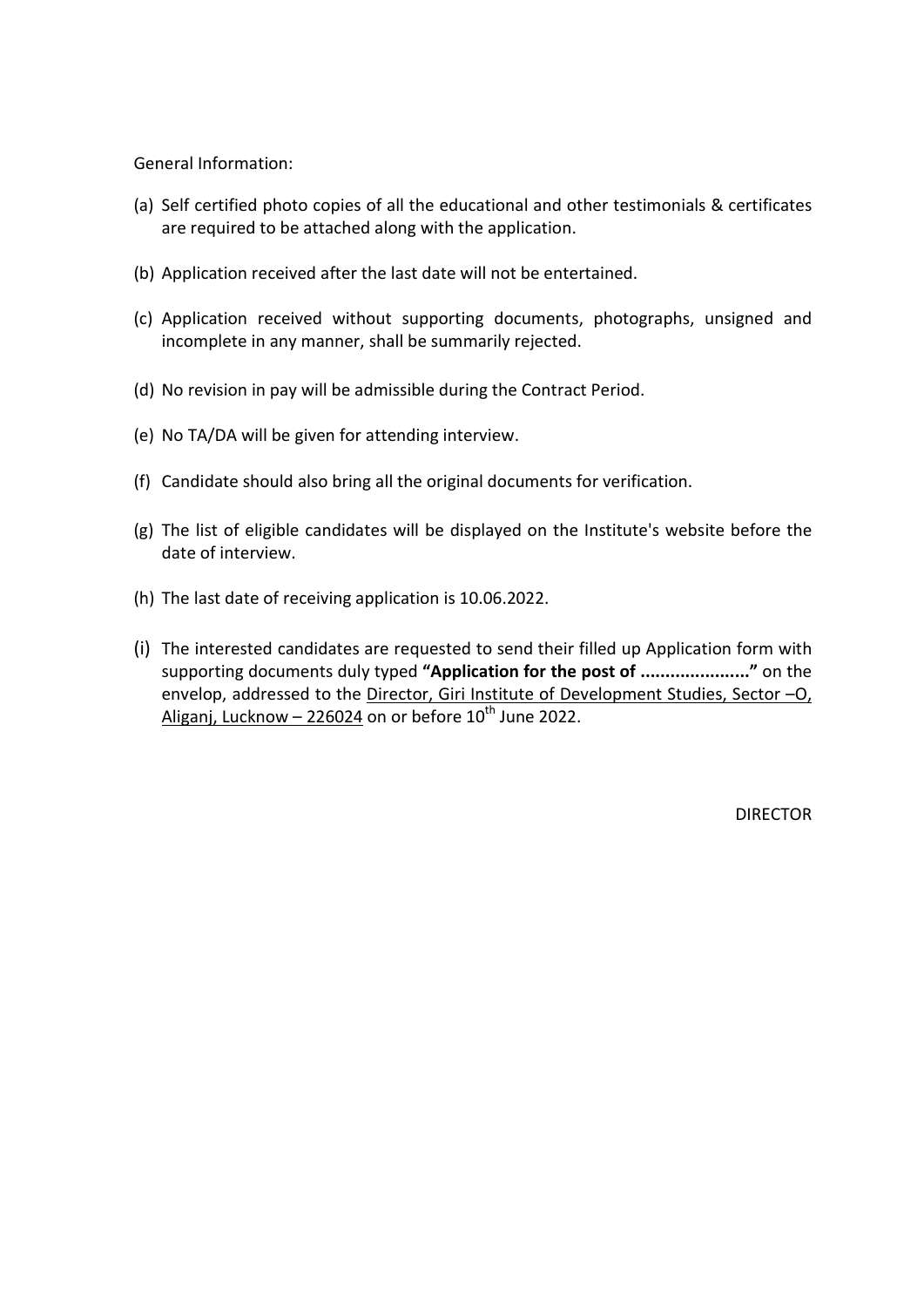General Information:

- (a) Self certified photo copies of all the educational and other testimonials & certificates are required to be attached along with the application.
- (b) Application received after the last date will not be entertained.
- (c) Application received without supporting documents, photographs, unsigned and incomplete in any manner, shall be summarily rejected.
- (d) No revision in pay will be admissible during the Contract Period.
- (e) No TA/DA will be given for attending interview.
- (f) Candidate should also bring all the original documents for verification.
- (g) The list of eligible candidates will be displayed on the Institute's website before the date of interview.
- (h) The last date of receiving application is 10.06.2022.
- (i) The interested candidates are requested to send their filled up Application form with supporting documents duly typed "Application for the post of .........................." on the envelop, addressed to the Director, Giri Institute of Development Studies, Sector –O, Aliganj, Lucknow  $- 226024$  on or before  $10^{th}$  June 2022.

DIRECTOR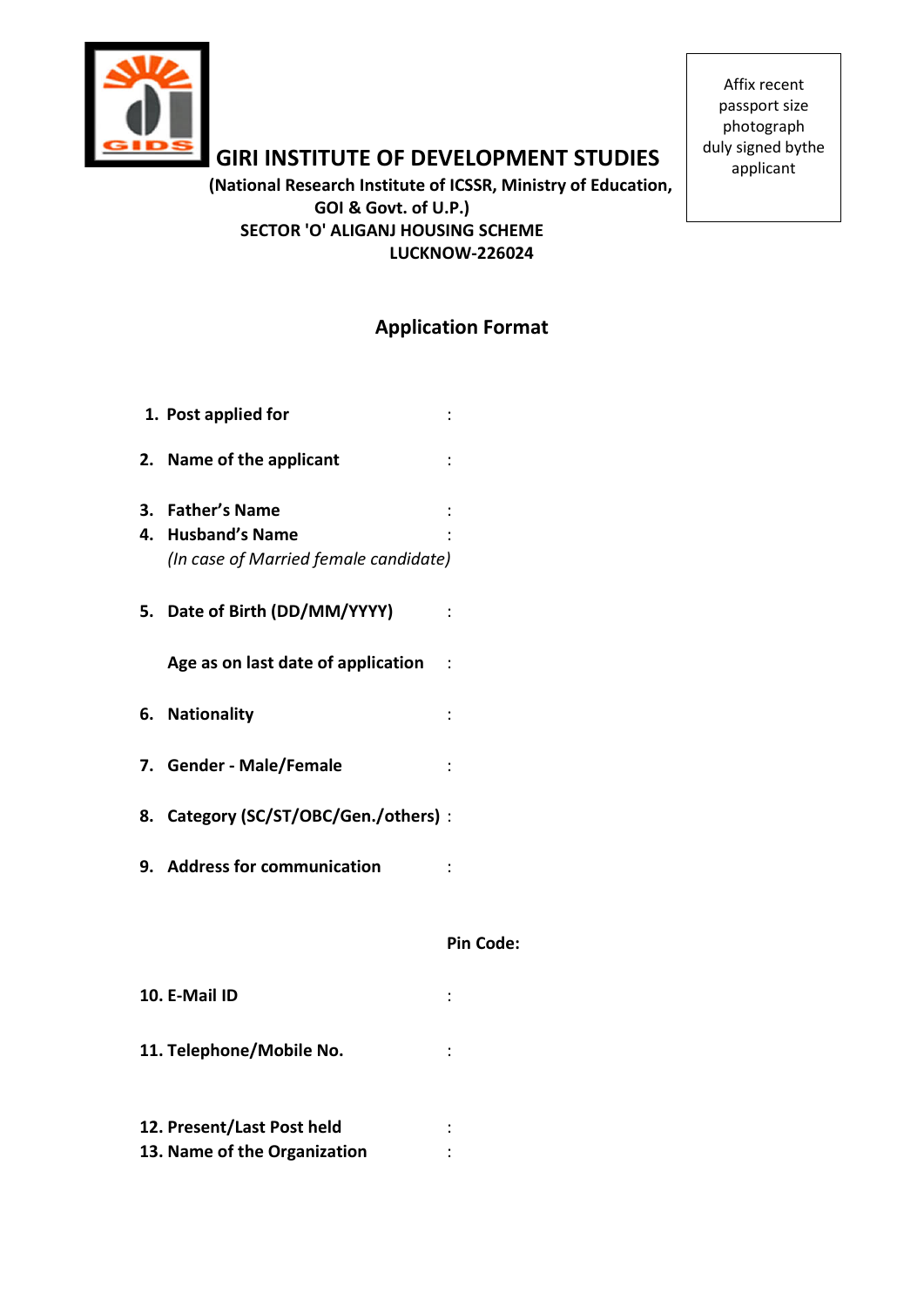

GIRI INSTITUTE OF DEVELOPMENT STUDIES

 (National Research Institute of ICSSR, Ministry of Education, GOI & Govt. of U.P.) SECTOR 'O' ALIGANJ HOUSING SCHEME LUCKNOW-226024

Affix recent passport size photograph duly signed bythe applicant

# Application Format

| 1. Post applied for                                                            |                |
|--------------------------------------------------------------------------------|----------------|
| 2. Name of the applicant                                                       |                |
| 3. Father's Name<br>4. Husband's Name<br>(In case of Married female candidate) | $\ddot{\cdot}$ |
| 5. Date of Birth (DD/MM/YYYY)                                                  |                |
| Age as on last date of application<br>$\overline{\phantom{a}}$ :               |                |
| 6. Nationality                                                                 | $\vdots$       |
| 7. Gender - Male/Female                                                        |                |
| 8. Category (SC/ST/OBC/Gen./others) :                                          |                |
| 9. Address for communication                                                   |                |
|                                                                                | Pin Code:      |
| 10. E-Mail ID                                                                  |                |
| 11. Telephone/Mobile No.                                                       |                |

| 12. Present/Last Post held   |  |
|------------------------------|--|
| 13. Name of the Organization |  |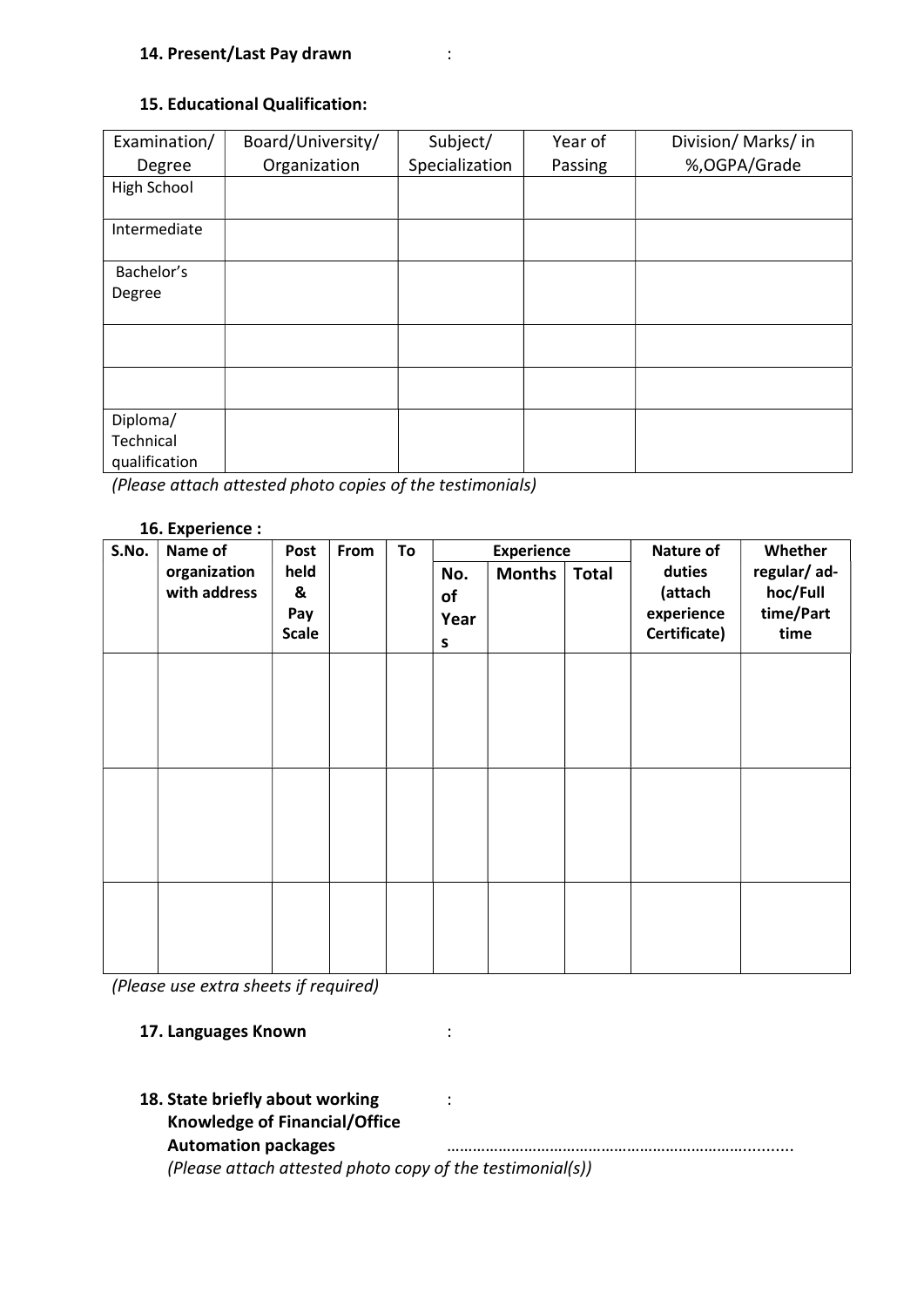## 15. Educational Qualification:

| Examination/                           | Board/University/ | Subject/       | Year of | Division/Marks/in |
|----------------------------------------|-------------------|----------------|---------|-------------------|
| Degree                                 | Organization      | Specialization | Passing | %, OGPA/Grade     |
| High School                            |                   |                |         |                   |
| Intermediate                           |                   |                |         |                   |
| Bachelor's                             |                   |                |         |                   |
| Degree                                 |                   |                |         |                   |
|                                        |                   |                |         |                   |
|                                        |                   |                |         |                   |
| Diploma/<br>Technical<br>qualification |                   |                |         |                   |

(Please attach attested photo copies of the testimonials)

#### 16. Experience :

| S.No. | Name of                      | Post                             | From | To | <b>Experience</b>      |               | Whether<br>Nature of |                                                 |                                              |
|-------|------------------------------|----------------------------------|------|----|------------------------|---------------|----------------------|-------------------------------------------------|----------------------------------------------|
|       | organization<br>with address | held<br>&<br>Pay<br><b>Scale</b> |      |    | No.<br>of<br>Year<br>S | <b>Months</b> | <b>Total</b>         | duties<br>(attach<br>experience<br>Certificate) | regular/ad-<br>hoc/Full<br>time/Part<br>time |
|       |                              |                                  |      |    |                        |               |                      |                                                 |                                              |
|       |                              |                                  |      |    |                        |               |                      |                                                 |                                              |
|       |                              |                                  |      |    |                        |               |                      |                                                 |                                              |

(Please use extra sheets if required)

## 17. Languages Known **in the State of Struck** in the set of the set of the set of the set of the set of the set o

18. State briefly about working  $\cdot$ : Knowledge of Financial/Office Automation packages **matter and the contract of the contract of the contract of the contract of the contract of t** 

(Please attach attested photo copy of the testimonial(s))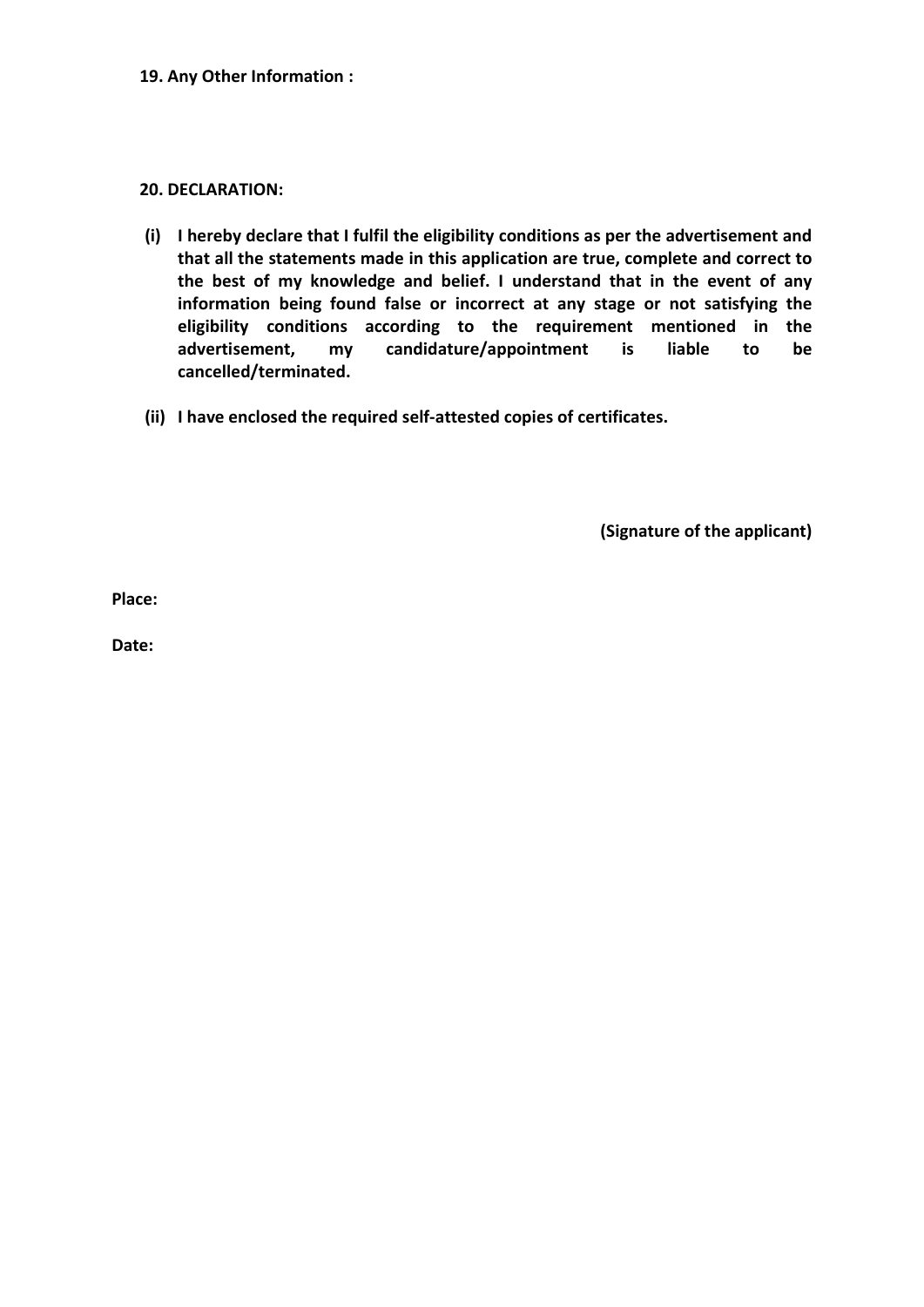#### 20. DECLARATION:

- (i) I hereby declare that I fulfil the eligibility conditions as per the advertisement and that all the statements made in this application are true, complete and correct to the best of my knowledge and belief. I understand that in the event of any information being found false or incorrect at any stage or not satisfying the eligibility conditions according to the requirement mentioned in the advertisement, my candidature/appointment is liable to be cancelled/terminated.
- (ii) I have enclosed the required self-attested copies of certificates.

(Signature of the applicant)

Place:

Date: